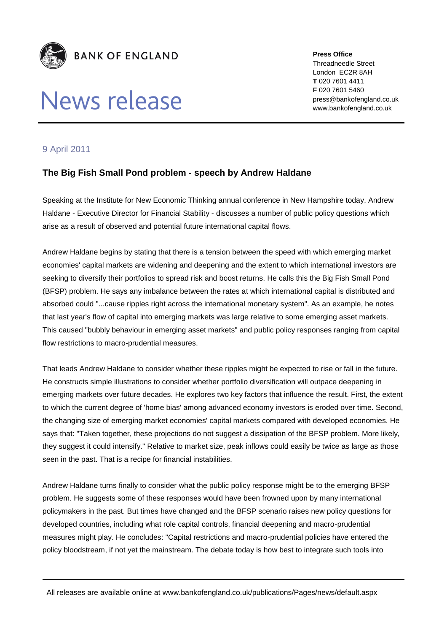

## News release

**Press Office** Threadneedle Street London EC2R 8AH **T** 020 7601 4411 **F** 020 7601 5460 press@bankofengland.co.uk www.bankofengland.co.uk

## 9 April 2011

## **The Big Fish Small Pond problem - speech by Andrew Haldane**

Speaking at the Institute for New Economic Thinking annual conference in New Hampshire today, Andrew Haldane - Executive Director for Financial Stability - discusses a number of public policy questions which arise as a result of observed and potential future international capital flows.

Andrew Haldane begins by stating that there is a tension between the speed with which emerging market economies' capital markets are widening and deepening and the extent to which international investors are seeking to diversify their portfolios to spread risk and boost returns. He calls this the Big Fish Small Pond (BFSP) problem. He says any imbalance between the rates at which international capital is distributed and absorbed could "...cause ripples right across the international monetary system". As an example, he notes that last year's flow of capital into emerging markets was large relative to some emerging asset markets. This caused "bubbly behaviour in emerging asset markets" and public policy responses ranging from capital flow restrictions to macro-prudential measures.

That leads Andrew Haldane to consider whether these ripples might be expected to rise or fall in the future. He constructs simple illustrations to consider whether portfolio diversification will outpace deepening in emerging markets over future decades. He explores two key factors that influence the result. First, the extent to which the current degree of 'home bias' among advanced economy investors is eroded over time. Second, the changing size of emerging market economies' capital markets compared with developed economies. He says that: "Taken together, these projections do not suggest a dissipation of the BFSP problem. More likely, they suggest it could intensify." Relative to market size, peak inflows could easily be twice as large as those seen in the past. That is a recipe for financial instabilities.

Andrew Haldane turns finally to consider what the public policy response might be to the emerging BFSP problem. He suggests some of these responses would have been frowned upon by many international policymakers in the past. But times have changed and the BFSP scenario raises new policy questions for developed countries, including what role capital controls, financial deepening and macro-prudential measures might play. He concludes: "Capital restrictions and macro-prudential policies have entered the policy bloodstream, if not yet the mainstream. The debate today is how best to integrate such tools into